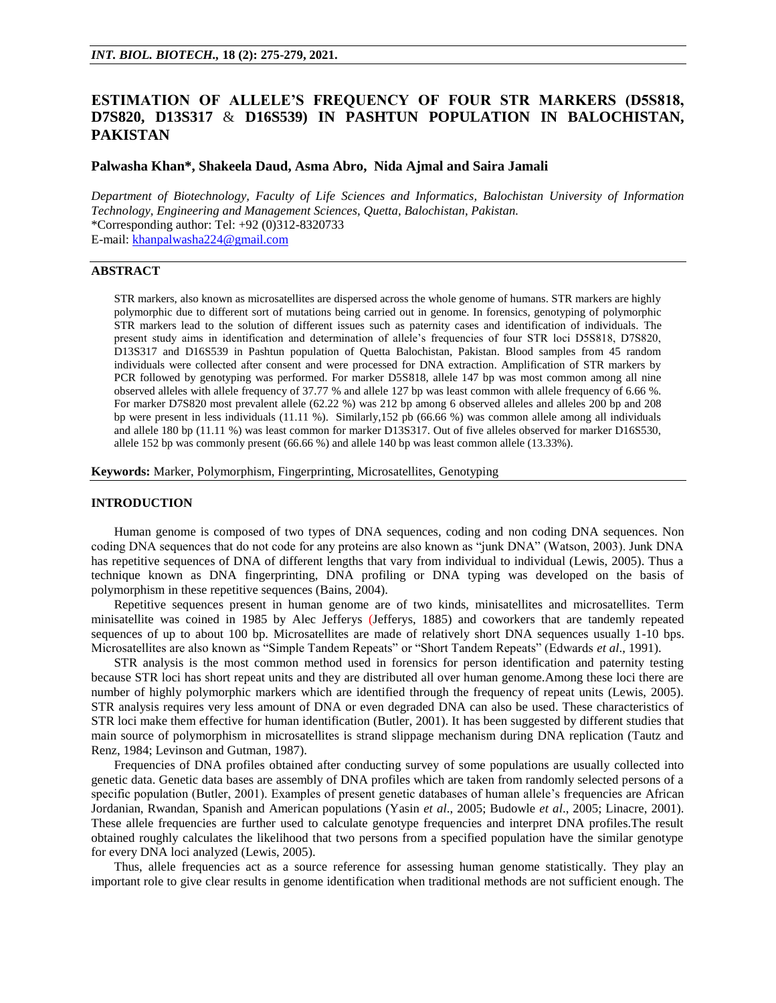# **ESTIMATION OF ALLELE'S FREQUENCY OF FOUR STR MARKERS (D5S818, D7S820, D13S317** & **D16S539) IN PASHTUN POPULATION IN BALOCHISTAN, PAKISTAN**

# **Palwasha Khan\*, Shakeela Daud, Asma Abro, Nida Ajmal and Saira Jamali**

*Department of Biotechnology, Faculty of Life Sciences and Informatics, Balochistan University of Information Technology, Engineering and Management Sciences, Quetta, Balochistan, Pakistan.* \*Corresponding author: Tel: +92 (0)312-8320733 E-mail: [khanpalwasha224@gmail.com](mailto:khanpalwasha224@gmail.com)

# **ABSTRACT**

STR markers, also known as microsatellites are dispersed across the whole genome of humans. STR markers are highly polymorphic due to different sort of mutations being carried out in genome. In forensics, genotyping of polymorphic STR markers lead to the solution of different issues such as paternity cases and identification of individuals. The present study aims in identification and determination of allele's frequencies of four STR loci D5S818, D7S820, D13S317 and D16S539 in Pashtun population of Quetta Balochistan, Pakistan. Blood samples from 45 random individuals were collected after consent and were processed for DNA extraction. Amplification of STR markers by PCR followed by genotyping was performed. For marker D5S818, allele 147 bp was most common among all nine observed alleles with allele frequency of 37.77 % and allele 127 bp was least common with allele frequency of 6.66 %. For marker D7S820 most prevalent allele (62.22 %) was 212 bp among 6 observed alleles and alleles 200 bp and 208 bp were present in less individuals (11.11 %). Similarly,152 pb (66.66 %) was common allele among all individuals and allele 180 bp (11.11 %) was least common for marker D13S317. Out of five alleles observed for marker D16S530, allele 152 bp was commonly present (66.66 %) and allele 140 bp was least common allele (13.33%).

**Keywords:** Marker, Polymorphism, Fingerprinting, Microsatellites, Genotyping

# **INTRODUCTION**

Human genome is composed of two types of DNA sequences, coding and non coding DNA sequences. Non coding DNA sequences that do not code for any proteins are also known as "junk DNA" (Watson, 2003). Junk DNA has repetitive sequences of DNA of different lengths that vary from individual to individual (Lewis, 2005). Thus a technique known as DNA fingerprinting, DNA profiling or DNA typing was developed on the basis of polymorphism in these repetitive sequences (Bains, 2004).

Repetitive sequences present in human genome are of two kinds, minisatellites and microsatellites. Term minisatellite was coined in 1985 by Alec Jefferys (Jefferys, 1885) and coworkers that are tandemly repeated sequences of up to about 100 bp. Microsatellites are made of relatively short DNA sequences usually 1-10 bps. Microsatellites are also known as "Simple Tandem Repeats" or "Short Tandem Repeats" (Edwards *et al*., 1991).

STR analysis is the most common method used in forensics for person identification and paternity testing because STR loci has short repeat units and they are distributed all over human genome.Among these loci there are number of highly polymorphic markers which are identified through the frequency of repeat units (Lewis, 2005). STR analysis requires very less amount of DNA or even degraded DNA can also be used. These characteristics of STR loci make them effective for human identification (Butler, 2001). It has been suggested by different studies that main source of polymorphism in microsatellites is strand slippage mechanism during DNA replication (Tautz and Renz, 1984; Levinson and Gutman, 1987).

Frequencies of DNA profiles obtained after conducting survey of some populations are usually collected into genetic data. Genetic data bases are assembly of DNA profiles which are taken from randomly selected persons of a specific population (Butler, 2001). Examples of present genetic databases of human allele's frequencies are African Jordanian, Rwandan, Spanish and American populations (Yasin *et al*., 2005; Budowle *et al*., 2005; Linacre, 2001). These allele frequencies are further used to calculate genotype frequencies and interpret DNA profiles.The result obtained roughly calculates the likelihood that two persons from a specified population have the similar genotype for every DNA loci analyzed (Lewis, 2005).

Thus, allele frequencies act as a source reference for assessing human genome statistically. They play an important role to give clear results in genome identification when traditional methods are not sufficient enough. The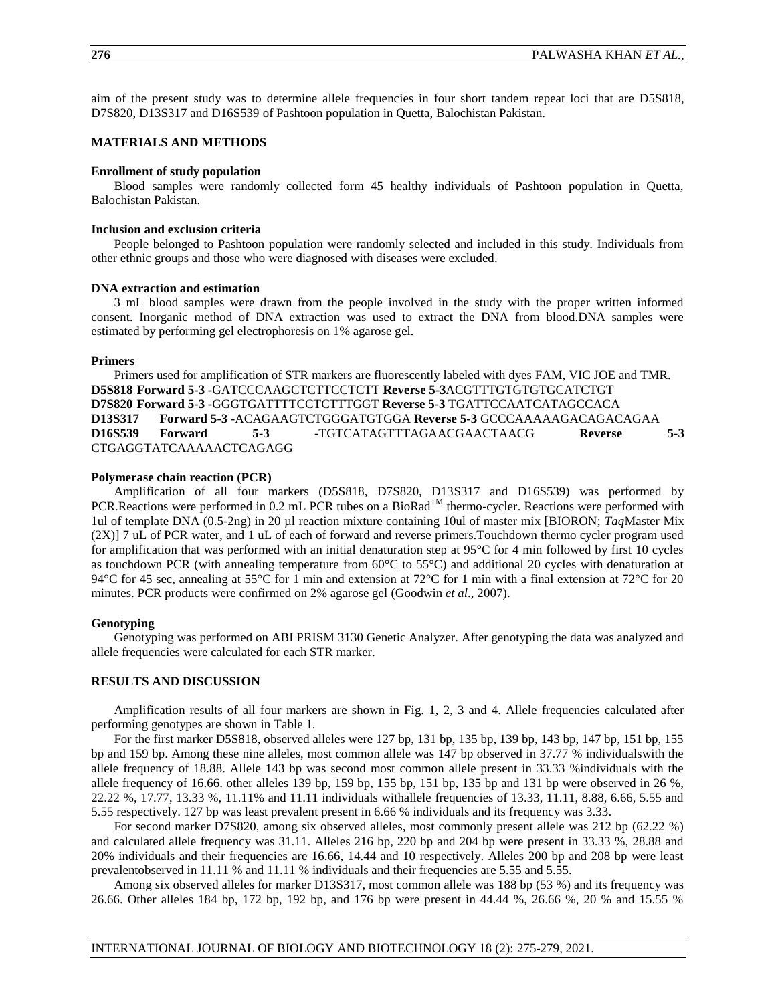aim of the present study was to determine allele frequencies in four short tandem repeat loci that are D5S818, D7S820, D13S317 and D16S539 of Pashtoon population in Quetta, Balochistan Pakistan.

# **MATERIALS AND METHODS**

#### **Enrollment of study population**

Blood samples were randomly collected form 45 healthy individuals of Pashtoon population in Quetta, Balochistan Pakistan.

## **Inclusion and exclusion criteria**

People belonged to Pashtoon population were randomly selected and included in this study. Individuals from other ethnic groups and those who were diagnosed with diseases were excluded.

#### **DNA extraction and estimation**

3 mL blood samples were drawn from the people involved in the study with the proper written informed consent. Inorganic method of DNA extraction was used to extract the DNA from blood.DNA samples were estimated by performing gel electrophoresis on 1% agarose gel.

#### **Primers**

Primers used for amplification of STR markers are fluorescently labeled with dyes FAM, VIC JOE and TMR. **D5S818 Forward 5-3 -**GATCCCAAGCTCTTCCTCTT **Reverse 5-3**ACGTTTGTGTGTGCATCTGT **D7S820 Forward 5-3 -**GGGTGATTTTCCTCTTTGGT **Reverse 5-3** TGATTCCAATCATAGCCACA **D13S317 Forward 5-3 -**ACAGAAGTCTGGGATGTGGA **Reverse 5-3** GCCCAAAAAGACAGACAGAA **D16S539 Forward 5-3 -**TGTCATAGTTTAGAACGAACTAACG **Reverse 5-3**  CTGAGGTATCAAAAACTCAGAGG

#### **Polymerase chain reaction (PCR)**

Amplification of all four markers (D5S818, D7S820, D13S317 and D16S539) was performed by PCR.Reactions were performed in 0.2 mL PCR tubes on a BioRad<sup>TM</sup> thermo-cycler. Reactions were performed with 1ul of template DNA (0.5-2ng) in 20 µl reaction mixture containing 10ul of master mix [BIORON; *Taq*Master Mix (2X)] 7 uL of PCR water, and 1 uL of each of forward and reverse primers.Touchdown thermo cycler program used for amplification that was performed with an initial denaturation step at 95°C for 4 min followed by first 10 cycles as touchdown PCR (with annealing temperature from 60°C to 55°C) and additional 20 cycles with denaturation at 94°C for 45 sec, annealing at 55°C for 1 min and extension at 72°C for 1 min with a final extension at 72°C for 20 minutes. PCR products were confirmed on 2% agarose gel (Goodwin *et al*., 2007).

#### **Genotyping**

Genotyping was performed on ABI PRISM 3130 Genetic Analyzer. After genotyping the data was analyzed and allele frequencies were calculated for each STR marker.

# **RESULTS AND DISCUSSION**

Amplification results of all four markers are shown in Fig. 1, 2, 3 and 4. Allele frequencies calculated after performing genotypes are shown in Table 1.

For the first marker D5S818, observed alleles were 127 bp, 131 bp, 135 bp, 139 bp, 143 bp, 147 bp, 151 bp, 155 bp and 159 bp. Among these nine alleles, most common allele was 147 bp observed in 37.77 % individualswith the allele frequency of 18.88. Allele 143 bp was second most common allele present in 33.33 %individuals with the allele frequency of 16.66. other alleles 139 bp, 159 bp, 155 bp, 151 bp, 135 bp and 131 bp were observed in 26  $\%$ , 22.22 %, 17.77, 13.33 %, 11.11% and 11.11 individuals withallele frequencies of 13.33, 11.11, 8.88, 6.66, 5.55 and 5.55 respectively. 127 bp was least prevalent present in 6.66 % individuals and its frequency was 3.33.

For second marker D7S820, among six observed alleles, most commonly present allele was 212 bp (62.22 %) and calculated allele frequency was 31.11. Alleles 216 bp, 220 bp and 204 bp were present in 33.33 %, 28.88 and 20% individuals and their frequencies are 16.66, 14.44 and 10 respectively. Alleles 200 bp and 208 bp were least prevalentobserved in 11.11 % and 11.11 % individuals and their frequencies are 5.55 and 5.55.

Among six observed alleles for marker D13S317, most common allele was 188 bp (53 %) and its frequency was 26.66. Other alleles 184 bp, 172 bp, 192 bp, and 176 bp were present in 44.44 %, 26.66 %, 20 % and 15.55 %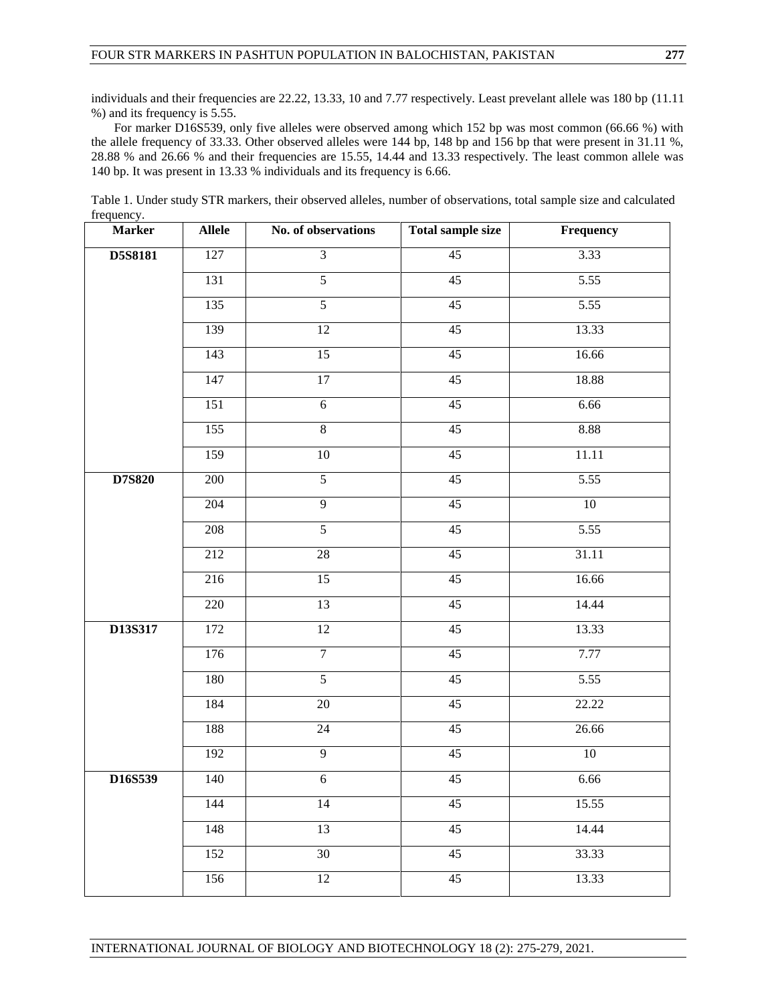individuals and their frequencies are 22.22, 13.33, 10 and 7.77 respectively. Least prevelant allele was 180 bp (11.11) %) and its frequency is 5.55.

For marker D16S539, only five alleles were observed among which 152 bp was most common (66.66 %) with the allele frequency of 33.33. Other observed alleles were 144 bp, 148 bp and 156 bp that were present in 31.11 %, 28.88 % and 26.66 % and their frequencies are 15.55, 14.44 and 13.33 respectively. The least common allele was 140 bp. It was present in 13.33 % individuals and its frequency is 6.66.

Table 1. Under study STR markers, their observed alleles, number of observations, total sample size and calculated frequency.

| <b>Marker</b> | <b>Allele</b>    | No. of observations | <b>Total sample size</b> | Frequency |
|---------------|------------------|---------------------|--------------------------|-----------|
| D5S8181       | 127              | $\overline{3}$      | 45                       | 3.33      |
|               | 131              | $\overline{5}$      | 45                       | 5.55      |
|               | 135              | $\overline{5}$      | $\overline{45}$          | 5.55      |
|               | 139              | 12                  | 45                       | 13.33     |
|               | 143              | 15                  | 45                       | 16.66     |
|               | 147              | 17                  | 45                       | 18.88     |
|               | 151              | $\overline{6}$      | 45                       | 6.66      |
|               | 155              | $\overline{8}$      | 45                       | 8.88      |
|               | 159              | 10                  | 45                       | 11.11     |
| D7S820        | 200              | $\overline{5}$      | $\overline{45}$          | 5.55      |
|               | 204              | $\overline{9}$      | 45                       | 10        |
|               | 208              | $\overline{5}$      | 45                       | 5.55      |
|               | 212              | $\overline{28}$     | 45                       | 31.11     |
|               | 216              | $\overline{15}$     | $\overline{45}$          | 16.66     |
|               | 220              | 13                  | 45                       | 14.44     |
| D13S317       | 172              | 12                  | 45                       | 13.33     |
|               | 176              | $\overline{7}$      | 45                       | 7.77      |
|               | 180              | $\overline{5}$      | $\overline{45}$          | 5.55      |
|               | 184              | $\overline{20}$     | 45                       | 22.22     |
|               | 188              | 24                  | 45                       | 26.66     |
|               | $\overline{192}$ | $\overline{9}$      | 45                       | 10        |
| D16S539       | 140              | $\overline{6}$      | 45                       | 6.66      |
|               | 144              | 14                  | 45                       | 15.55     |
|               | 148              | 13                  | 45                       | 14.44     |
|               | 152              | 30                  | $\overline{45}$          | 33.33     |
|               | 156              | 12                  | 45                       | 13.33     |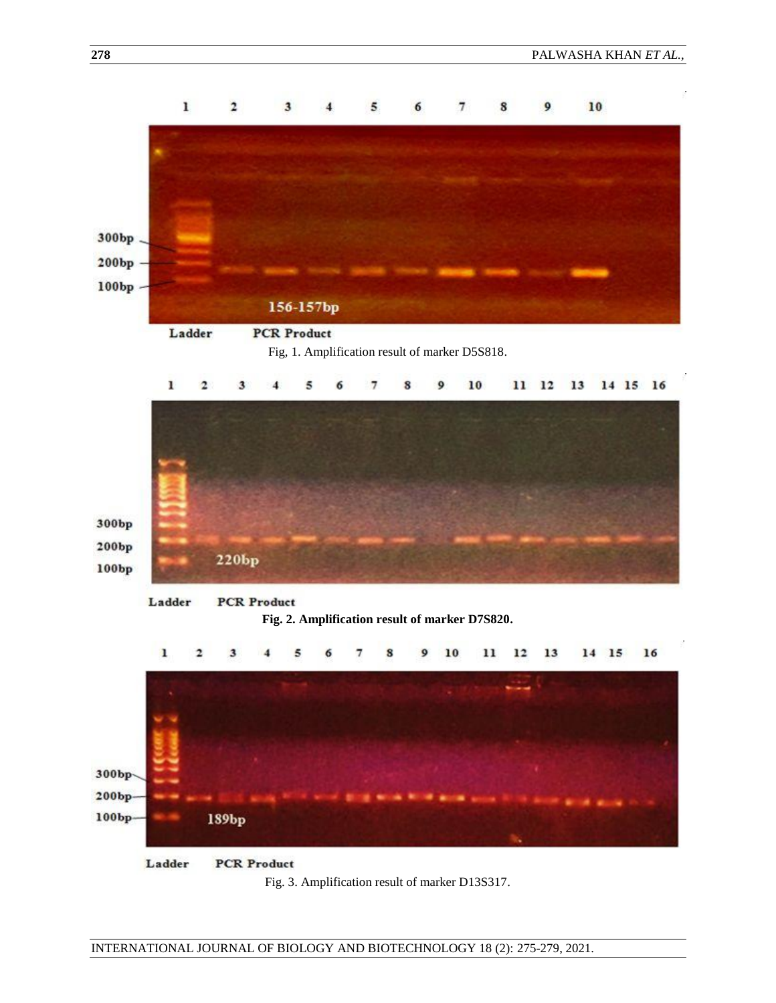